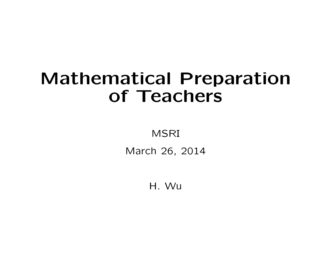## Mathematical Preparation of Teachers

MSRI

March 26, 2014

H. Wu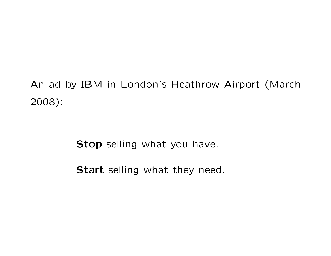An ad by IBM in London's Heathrow Airport (March 2008):

Stop selling what you have.

Start selling what they need.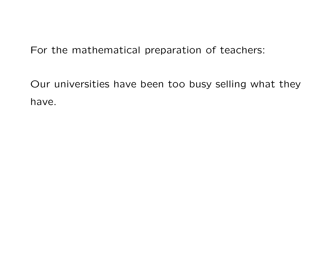For the mathematical preparation of teachers:

Our universities have been too busy selling what they have.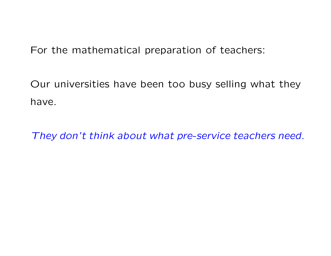For the mathematical preparation of teachers:

Our universities have been too busy selling what they have.

They don't think about what pre-service teachers need.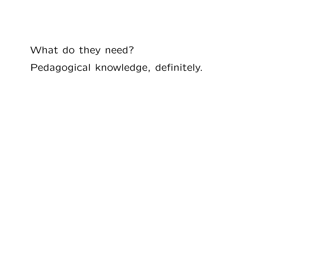What do they need?

Pedagogical knowledge, definitely.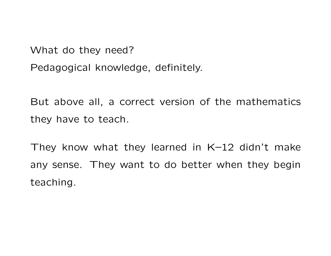What do they need?

Pedagogical knowledge, definitely.

But above all, a correct version of the mathematics they have to teach.

They know what they learned in K–12 didn't make any sense. They want to do better when they begin teaching.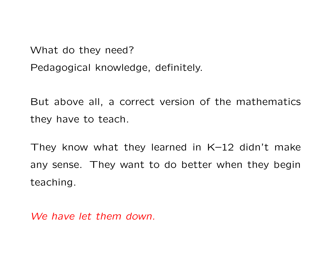What do they need?

Pedagogical knowledge, definitely.

But above all, a correct version of the mathematics they have to teach.

They know what they learned in K–12 didn't make any sense. They want to do better when they begin teaching.

We have let them down.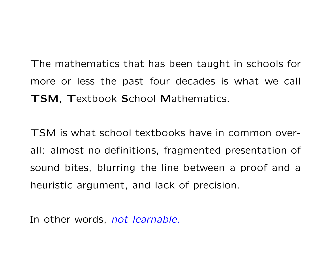The mathematics that has been taught in schools for more or less the past four decades is what we call TSM, Textbook School Mathematics.

TSM is what school textbooks have in common overall: almost no definitions, fragmented presentation of sound bites, blurring the line between a proof and a heuristic argument, and lack of precision.

In other words, not learnable.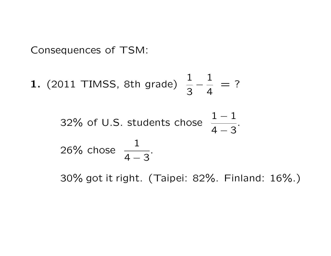Consequences of TSM:

**1.** (2011 TIMSS, 8th grade) 
$$
\frac{1}{3} - \frac{1}{4} = ?
$$

32% of U.S. students chose 
$$
\frac{1-1}{4-3}
$$
.  
26% chose  $\frac{1}{4-3}$ .

30% got it right. (Taipei: 82%. Finland: 16%.)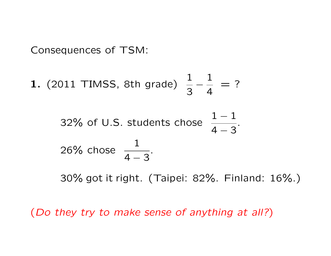Consequences of TSM:

**1.** (2011 TIMSS, 8th grade) 
$$
\frac{1}{3} - \frac{1}{4} = ?
$$

32% of U.S. students chose 
$$
\frac{1-1}{4-3}
$$
.  
26% chose  $\frac{1}{4-3}$ .

30% got it right. (Taipei: 82%. Finland: 16%.)

(Do they try to make sense of anything at all?)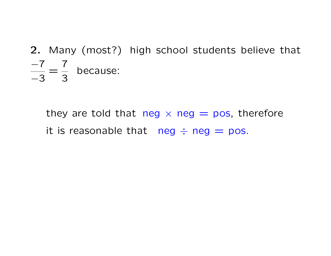## 2. Many (most?) high school students believe that  $-7$ −3 = 7 3 because:

they are told that neg  $\times$  neg  $=$  pos, therefore it is reasonable that  $neg \div neg = pos$ .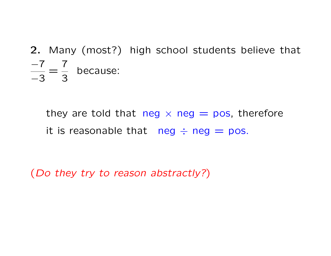## 2. Many (most?) high school students believe that  $-7$ −3 = 7 3 because:

they are told that neg  $\times$  neg  $=$  pos, therefore it is reasonable that neg  $\div$  neg  $=$  pos.

(Do they try to reason abstractly?)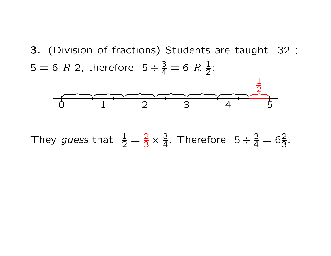3. (Division of fractions) Students are taught  $32 \div$  $5 = 6$   $R$  2, therefore  $5 \div \frac{3}{4} = 6$   $R$   $\frac{1}{2}$  $\overline{2}$ ;<br>;



They guess that  $\frac{1}{2} = \frac{2}{3} \times \frac{3}{4}$ . Therefore  $5 \div \frac{3}{4} = 6\frac{2}{3}$ .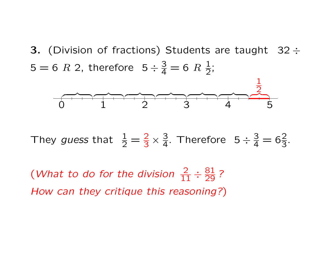3. (Division of fractions) Students are taught  $32 \div$  $5 = 6$   $R$  2, therefore  $5 \div \frac{3}{4} = 6$   $R$   $\frac{1}{2}$  $\overline{2}$ ;<br>;



They guess that  $\frac{1}{2} = \frac{2}{3} \times \frac{3}{4}$ . Therefore  $5 \div \frac{3}{4} = 6\frac{2}{3}$ .

(What to do for the division  $\frac{2}{11} \div \frac{81}{29}$ ? How can they critique this reasoning?)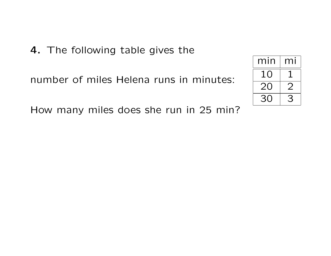4. The following table gives the

number of miles Helena runs in minutes:

| min              | mi            |
|------------------|---------------|
| 1 <sub>(</sub> ) |               |
| 20               | $\mathcal{L}$ |
| 30               | ้≺ี           |

How many miles does she run in 25 min?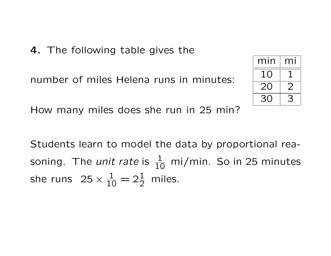4. The following table gives the

number of miles Helena runs in minutes:

| min | mı |
|-----|----|
| 10  |    |
| 20  |    |
| 30  | ∹≺ |

How many miles does she run in 25 min?

Students learn to model the data by proportional reasoning. The *unit rate* is  $\frac{1}{10}$  mi/min. So in 25 minutes she runs  $25 \times \frac{1}{10} = 2\frac{1}{2}$  miles.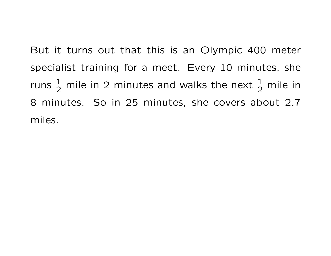But it turns out that this is an Olympic 400 meter specialist training for a meet. Every 10 minutes, she runs  $\frac{1}{2}$  mile in 2 minutes and walks the next  $\frac{1}{2}$  mile in 8 minutes. So in 25 minutes, she covers about 2.7 miles.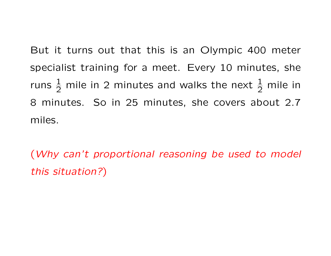But it turns out that this is an Olympic 400 meter specialist training for a meet. Every 10 minutes, she runs  $\frac{1}{2}$  mile in 2 minutes and walks the next  $\frac{1}{2}$  mile in 8 minutes. So in 25 minutes, she covers about 2.7 miles.

(Why can't proportional reasoning be used to model this situation?)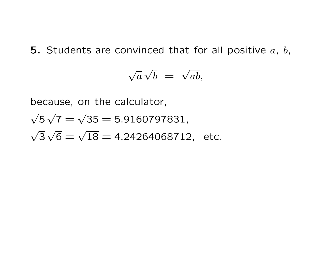5. Students are convinced that for all positive  $a, b, c$ 

$$
\sqrt{a}\sqrt{b} = \sqrt{ab},
$$

because, on the calculator,

$$
\sqrt{5}\sqrt{7} = \sqrt{35} = 5.9160797831,
$$
  
\n $\sqrt{3}\sqrt{6} = \sqrt{18} = 4.24264068712, etc.$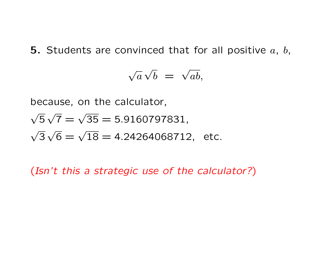5. Students are convinced that for all positive  $a, b, c$ 

$$
\sqrt{a}\sqrt{b} = \sqrt{ab},
$$

because, on the calculator,

$$
\sqrt{5}\sqrt{7} = \sqrt{35} = 5.9160797831,
$$
  
\n $\sqrt{3}\sqrt{6} = \sqrt{18} = 4.24264068712, etc.$ 

(Isn't this a strategic use of the calculator?)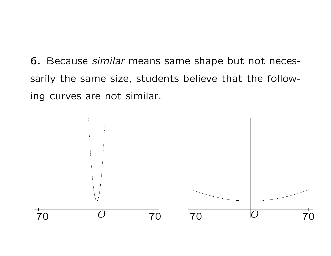**6.** Because *similar* means same shape but not necessarily the same size, students believe that the following curves are not similar.

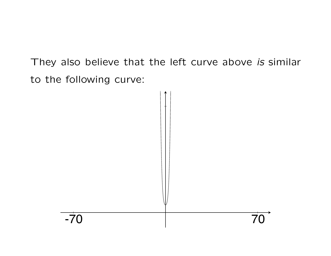They also believe that the left curve above is similar to the following curve:

-70 70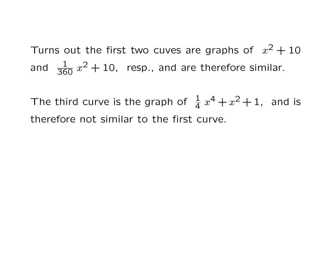Turns out the first two cuves are graphs of  $x^2 + 10$ and  $\frac{1}{360}x^2+10$ , resp., and are therefore similar.

The third curve is the graph of  $\frac{1}{4}$  $\frac{1}{4}x^4 + x^2 + 1$ , and is therefore not similar to the first curve.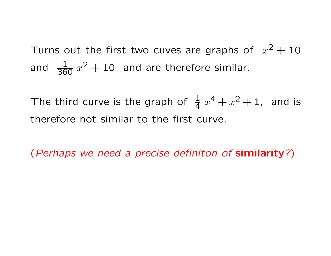Turns out the first two cuves are graphs of  $x^2 + 10$ and  $\frac{1}{360}x^2+10$  and are therefore similar.

The third curve is the graph of  $\frac{1}{4}$  $\frac{1}{4}x^4 + x^2 + 1$ , and is therefore not similar to the first curve.

(Perhaps we need a precise definiton of similarity?)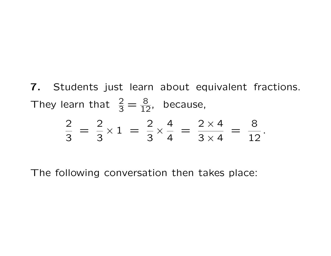7. Students just learn about equivalent fractions. They learn that  $\frac{2}{3} = \frac{8}{12}$ , because,

$$
\frac{2}{3} = \frac{2}{3} \times 1 = \frac{2}{3} \times \frac{4}{4} = \frac{2 \times 4}{3 \times 4} = \frac{8}{12}.
$$

The following conversation then takes place: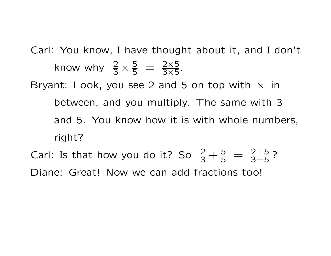Carl: You know, I have thought about it, and I don't know why  $\frac{2}{3} \times \frac{5}{5} = \frac{2 \times 5}{3 \times 5}$ . Bryant: Look, you see 2 and 5 on top with  $\times$  in between, and you multiply. The same with 3 and 5. You know how it is with whole numbers, right?

Carl: Is that how you do it? So  $\frac{2}{3} + \frac{5}{5} = \frac{2+5}{3+5}$ ? Diane: Great! Now we can add fractions too!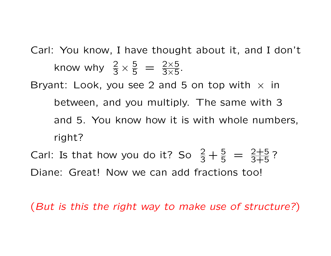Carl: You know, I have thought about it, and I don't know why  $\frac{2}{3} \times \frac{5}{5} = \frac{2 \times 5}{3 \times 5}$ . Bryant: Look, you see 2 and 5 on top with  $\times$  in between, and you multiply. The same with 3 and 5. You know how it is with whole numbers, right? Carl: Is that how you do it? So  $\frac{2}{3} + \frac{5}{5} = \frac{2+5}{3+5}$ ?

Diane: Great! Now we can add fractions too!

(But is this the right way to make use of structure?)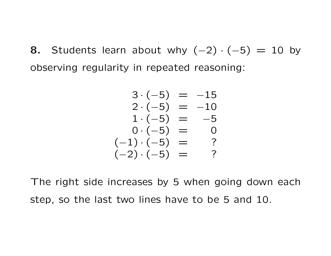8. Students learn about why  $(-2) \cdot (-5) = 10$  by observing regularity in repeated reasoning:

$$
3 \cdot (-5) = -15
$$
  
\n
$$
2 \cdot (-5) = -10
$$
  
\n
$$
1 \cdot (-5) = -5
$$
  
\n
$$
0 \cdot (-5) = 0
$$
  
\n
$$
(-1) \cdot (-5) = ?
$$
  
\n
$$
(-2) \cdot (-5) = ?
$$

The right side increases by 5 when going down each step, so the last two lines have to be 5 and 10.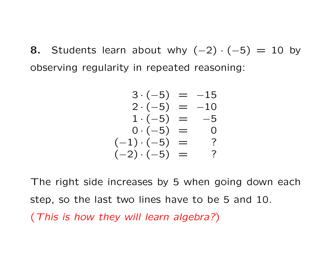8. Students learn about why  $(-2) \cdot (-5) = 10$  by observing regularity in repeated reasoning:

$$
3 \cdot (-5) = -15
$$
  
\n
$$
2 \cdot (-5) = -10
$$
  
\n
$$
1 \cdot (-5) = -5
$$
  
\n
$$
0 \cdot (-5) = 0
$$
  
\n
$$
(-1) \cdot (-5) = ?
$$
  
\n
$$
(-2) \cdot (-5) = ?
$$

The right side increases by 5 when going down each step, so the last two lines have to be 5 and 10. (This is how they will learn algebra?)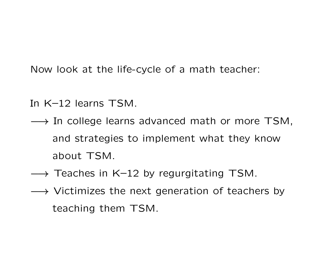Now look at the life-cycle of a math teacher:

- In K–12 learns TSM.
- → In college learns advanced math or more TSM, and strategies to implement what they know about TSM.
- $\longrightarrow$  Teaches in K–12 by regurgitating TSM.
- → Victimizes the next generation of teachers by teaching them TSM.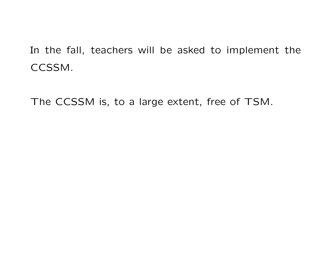In the fall, teachers will be asked to implement the CCSSM.

The CCSSM is, to a large extent, free of TSM.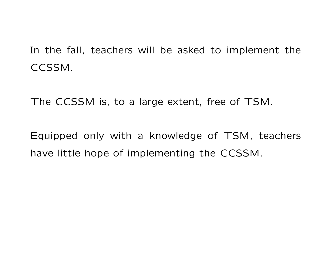In the fall, teachers will be asked to implement the CCSSM.

The CCSSM is, to a large extent, free of TSM.

Equipped only with a knowledge of TSM, teachers have little hope of implementing the CCSSM.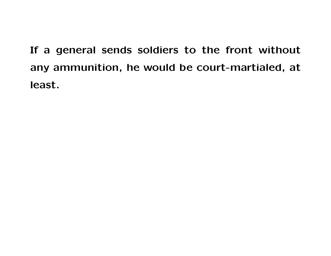If a general sends soldiers to the front without any ammunition, he would be court-martialed, at least.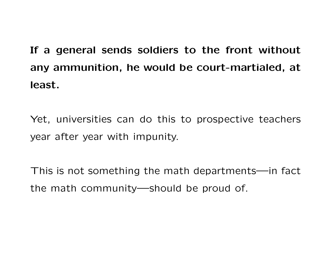## If a general sends soldiers to the front without any ammunition, he would be court-martialed, at least.

Yet, universities can do this to prospective teachers year after year with impunity.

This is not something the math departments—in fact the math community—should be proud of.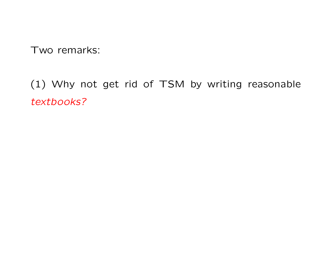Two remarks:

(1) Why not get rid of TSM by writing reasonable textbooks?